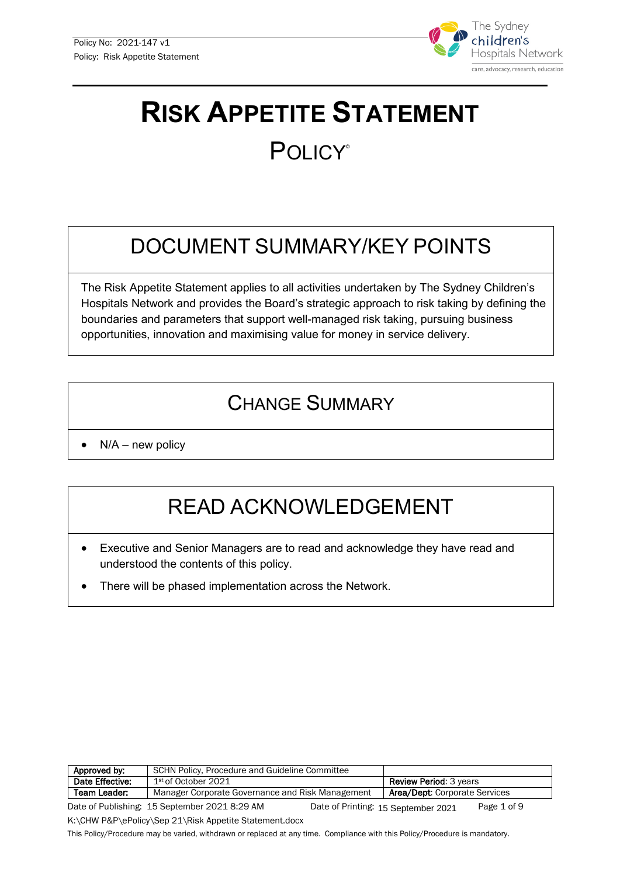

# **RISK APPETITE STATEMENT POLICY®**

## DOCUMENT SUMMARY/KEY POINTS

The Risk Appetite Statement applies to all activities undertaken by The Sydney Children's Hospitals Network and provides the Board's strategic approach to risk taking by defining the boundaries and parameters that support well-managed risk taking, pursuing business opportunities, innovation and maximising value for money in service delivery.

## CHANGE SUMMARY

 $N/A$  – new policy

## READ ACKNOWLEDGEMENT

- Executive and Senior Managers are to read and acknowledge they have read and understood the contents of this policy.
- There will be phased implementation across the Network.

| Approved by:    | SCHN Policy, Procedure and Guideline Committee   |                                     |                                      |             |
|-----------------|--------------------------------------------------|-------------------------------------|--------------------------------------|-------------|
| Date Effective: | 1 <sup>st</sup> of October 2021                  |                                     | <b>Review Period: 3 years</b>        |             |
| Team Leader:    | Manager Corporate Governance and Risk Management |                                     | <b>Area/Dept:</b> Corporate Services |             |
|                 | Date of Publishing: 15 September 2021 8:29 AM    | Date of Printing: 15 September 2021 |                                      | Page 1 of 9 |

K:\CHW P&P\ePolicy\Sep 21\Risk Appetite Statement.docx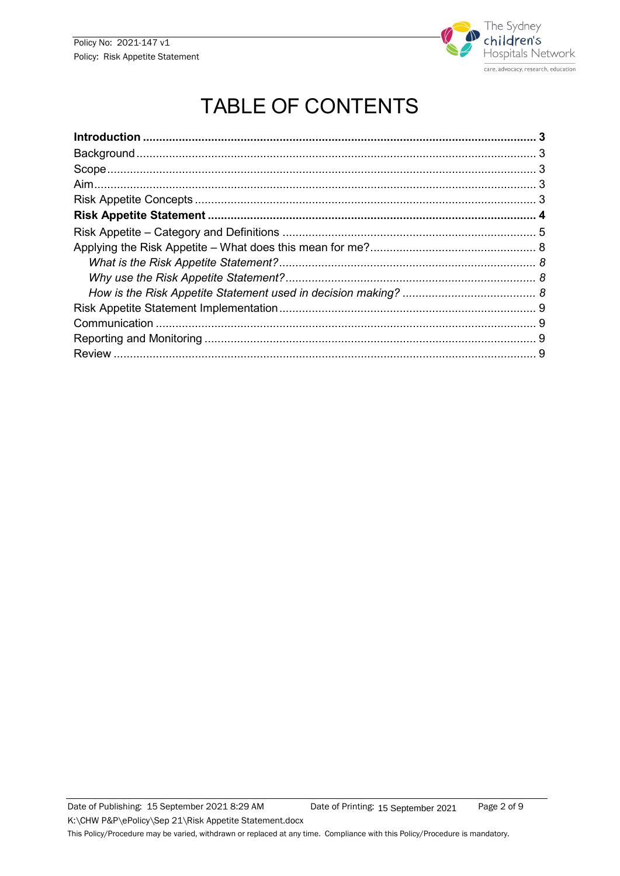

## **TABLE OF CONTENTS**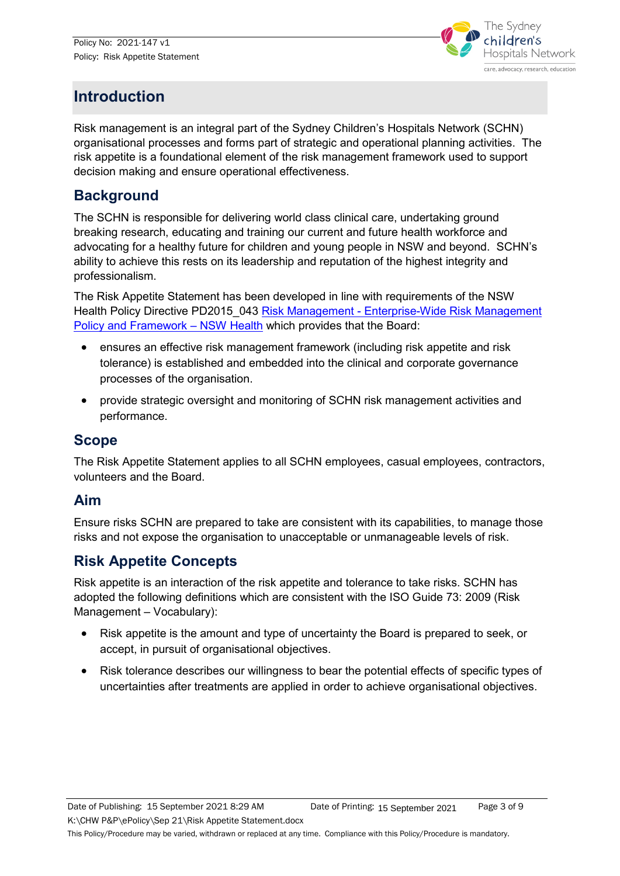

## <span id="page-2-0"></span>**Introduction**

Risk management is an integral part of the Sydney Children's Hospitals Network (SCHN) organisational processes and forms part of strategic and operational planning activities. The risk appetite is a foundational element of the risk management framework used to support decision making and ensure operational effectiveness.

#### <span id="page-2-1"></span>**Background**

The SCHN is responsible for delivering world class clinical care, undertaking ground breaking research, educating and training our current and future health workforce and advocating for a healthy future for children and young people in NSW and beyond. SCHN's ability to achieve this rests on its leadership and reputation of the highest integrity and professionalism.

The Risk Appetite Statement has been developed in line with requirements of the NSW Health Policy Directive PD2015 043 Risk Management - Enterprise-Wide Risk Management [Policy and Framework –](https://www1.health.nsw.gov.au/pds/ActivePDSDocuments/PD2015_043.pdf) NSW Health which provides that the Board:

- ensures an effective risk management framework (including risk appetite and risk tolerance) is established and embedded into the clinical and corporate governance processes of the organisation.
- provide strategic oversight and monitoring of SCHN risk management activities and performance.

#### <span id="page-2-2"></span>**Scope**

The Risk Appetite Statement applies to all SCHN employees, casual employees, contractors, volunteers and the Board.

#### <span id="page-2-3"></span>**Aim**

Ensure risks SCHN are prepared to take are consistent with its capabilities, to manage those risks and not expose the organisation to unacceptable or unmanageable levels of risk.

### <span id="page-2-4"></span>**Risk Appetite Concepts**

Risk appetite is an interaction of the risk appetite and tolerance to take risks. SCHN has adopted the following definitions which are consistent with the ISO Guide 73: 2009 (Risk Management – Vocabulary):

- Risk appetite is the amount and type of uncertainty the Board is prepared to seek, or accept, in pursuit of organisational objectives.
- Risk tolerance describes our willingness to bear the potential effects of specific types of uncertainties after treatments are applied in order to achieve organisational objectives.

K:\CHW P&P\ePolicy\Sep 21\Risk Appetite Statement.docx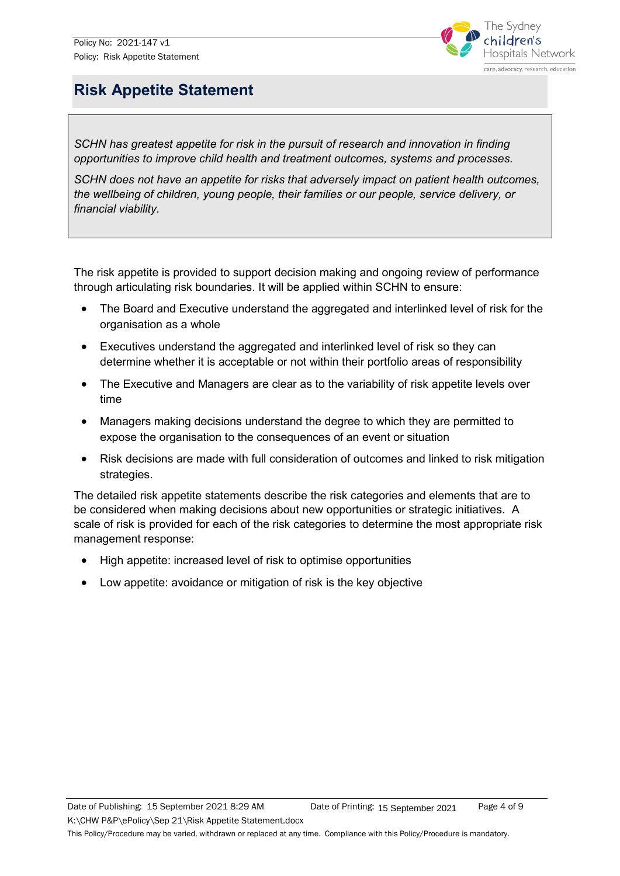

### <span id="page-3-0"></span>**Risk Appetite Statement**

*SCHN has greatest appetite for risk in the pursuit of research and innovation in finding opportunities to improve child health and treatment outcomes, systems and processes.* 

*SCHN does not have an appetite for risks that adversely impact on patient health outcomes, the wellbeing of children, young people, their families or our people, service delivery, or financial viability.*

The risk appetite is provided to support decision making and ongoing review of performance through articulating risk boundaries. It will be applied within SCHN to ensure:

- The Board and Executive understand the aggregated and interlinked level of risk for the organisation as a whole
- Executives understand the aggregated and interlinked level of risk so they can determine whether it is acceptable or not within their portfolio areas of responsibility
- The Executive and Managers are clear as to the variability of risk appetite levels over time
- Managers making decisions understand the degree to which they are permitted to expose the organisation to the consequences of an event or situation
- Risk decisions are made with full consideration of outcomes and linked to risk mitigation strategies.

The detailed risk appetite statements describe the risk categories and elements that are to be considered when making decisions about new opportunities or strategic initiatives. A scale of risk is provided for each of the risk categories to determine the most appropriate risk management response:

- High appetite: increased level of risk to optimise opportunities
- Low appetite: avoidance or mitigation of risk is the key objective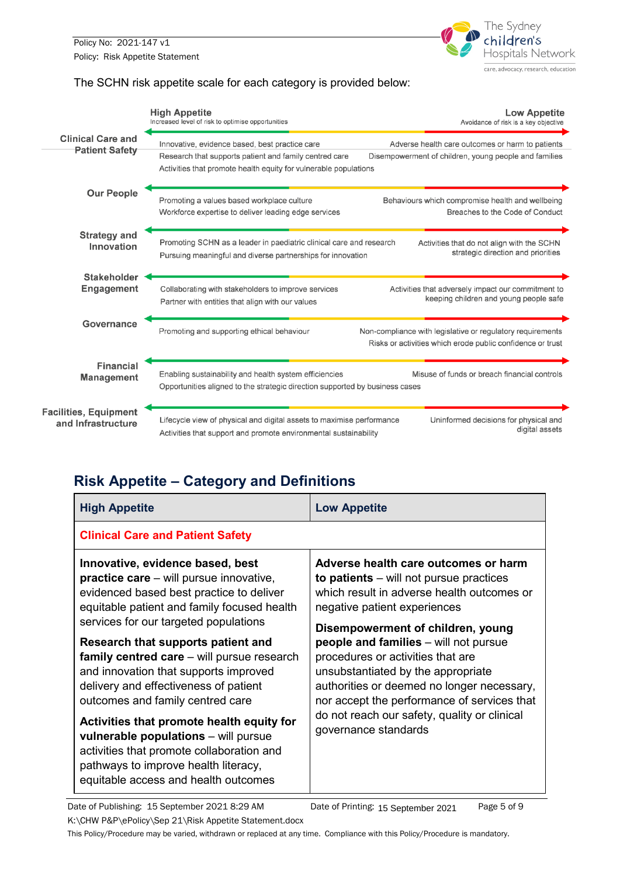Policy No: 2021-147 v1 Policy: Risk Appetite Statement



#### The SCHN risk appetite scale for each category is provided below:



### <span id="page-4-0"></span>**Risk Appetite – Category and Definitions**

| <b>High Appetite</b>                                                                                                                                                                                                                                                                                                                                                                                                                                                                                                                                                                                                                               | <b>Low Appetite</b>                                                                                                                                                                                                                                                                                                                                                                                                                                                                                  |  |  |  |
|----------------------------------------------------------------------------------------------------------------------------------------------------------------------------------------------------------------------------------------------------------------------------------------------------------------------------------------------------------------------------------------------------------------------------------------------------------------------------------------------------------------------------------------------------------------------------------------------------------------------------------------------------|------------------------------------------------------------------------------------------------------------------------------------------------------------------------------------------------------------------------------------------------------------------------------------------------------------------------------------------------------------------------------------------------------------------------------------------------------------------------------------------------------|--|--|--|
| <b>Clinical Care and Patient Safety</b>                                                                                                                                                                                                                                                                                                                                                                                                                                                                                                                                                                                                            |                                                                                                                                                                                                                                                                                                                                                                                                                                                                                                      |  |  |  |
| Innovative, evidence based, best<br><b>practice care</b> – will pursue innovative,<br>evidenced based best practice to deliver<br>equitable patient and family focused health<br>services for our targeted populations<br>Research that supports patient and<br>family centred care – will pursue research<br>and innovation that supports improved<br>delivery and effectiveness of patient<br>outcomes and family centred care<br>Activities that promote health equity for<br>vulnerable populations - will pursue<br>activities that promote collaboration and<br>pathways to improve health literacy,<br>equitable access and health outcomes | Adverse health care outcomes or harm<br>to patients $-$ will not pursue practices<br>which result in adverse health outcomes or<br>negative patient experiences<br>Disempowerment of children, young<br><b>people and families</b> – will not pursue<br>procedures or activities that are<br>unsubstantiated by the appropriate<br>authorities or deemed no longer necessary,<br>nor accept the performance of services that<br>do not reach our safety, quality or clinical<br>governance standards |  |  |  |

Date of Publishing: 15 September 2021 8:29 AM Date of Printing: 15 September 2021 Page 5 of 9 Date of Printing: 15 September 2021

K:\CHW P&P\ePolicy\Sep 21\Risk Appetite Statement.docx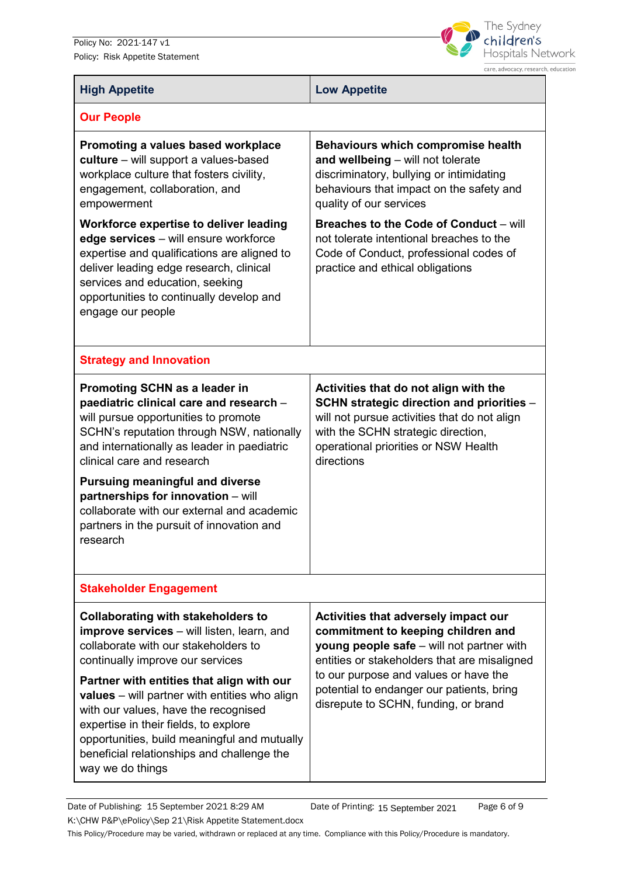Policy No: 2021-147 v1 Policy: Risk Appetite Statement



| <b>High Appetite</b>                                                                                                                                                                                                                                                                                                                                                                                                                                                               | <b>Low Appetite</b>                                                                                                                                                                                                                                                                                   |  |  |  |
|------------------------------------------------------------------------------------------------------------------------------------------------------------------------------------------------------------------------------------------------------------------------------------------------------------------------------------------------------------------------------------------------------------------------------------------------------------------------------------|-------------------------------------------------------------------------------------------------------------------------------------------------------------------------------------------------------------------------------------------------------------------------------------------------------|--|--|--|
| <b>Our People</b>                                                                                                                                                                                                                                                                                                                                                                                                                                                                  |                                                                                                                                                                                                                                                                                                       |  |  |  |
| Promoting a values based workplace<br>culture - will support a values-based<br>workplace culture that fosters civility,<br>engagement, collaboration, and<br>empowerment                                                                                                                                                                                                                                                                                                           | Behaviours which compromise health<br>and wellbeing - will not tolerate<br>discriminatory, bullying or intimidating<br>behaviours that impact on the safety and<br>quality of our services                                                                                                            |  |  |  |
| Workforce expertise to deliver leading<br>edge services - will ensure workforce<br>expertise and qualifications are aligned to<br>deliver leading edge research, clinical<br>services and education, seeking<br>opportunities to continually develop and<br>engage our people                                                                                                                                                                                                      | <b>Breaches to the Code of Conduct - will</b><br>not tolerate intentional breaches to the<br>Code of Conduct, professional codes of<br>practice and ethical obligations                                                                                                                               |  |  |  |
| <b>Strategy and Innovation</b>                                                                                                                                                                                                                                                                                                                                                                                                                                                     |                                                                                                                                                                                                                                                                                                       |  |  |  |
| Promoting SCHN as a leader in<br>paediatric clinical care and research -<br>will pursue opportunities to promote<br>SCHN's reputation through NSW, nationally<br>and internationally as leader in paediatric<br>clinical care and research<br><b>Pursuing meaningful and diverse</b><br>partnerships for innovation - will<br>collaborate with our external and academic<br>partners in the pursuit of innovation and<br>research                                                  | Activities that do not align with the<br>SCHN strategic direction and priorities -<br>will not pursue activities that do not align<br>with the SCHN strategic direction,<br>operational priorities or NSW Health<br>directions                                                                        |  |  |  |
| <b>Stakeholder Engagement</b>                                                                                                                                                                                                                                                                                                                                                                                                                                                      |                                                                                                                                                                                                                                                                                                       |  |  |  |
| <b>Collaborating with stakeholders to</b><br><b>improve services</b> – will listen, learn, and<br>collaborate with our stakeholders to<br>continually improve our services<br>Partner with entities that align with our<br><b>values</b> – will partner with entities who align<br>with our values, have the recognised<br>expertise in their fields, to explore<br>opportunities, build meaningful and mutually<br>beneficial relationships and challenge the<br>way we do things | Activities that adversely impact our<br>commitment to keeping children and<br>young people safe - will not partner with<br>entities or stakeholders that are misaligned<br>to our purpose and values or have the<br>potential to endanger our patients, bring<br>disrepute to SCHN, funding, or brand |  |  |  |

Date of Publishing: 15 September 2021 8:29 AM Date of Printing: 15 September 2021 Page 6 of 9 K:\CHW P&P\ePolicy\Sep 21\Risk Appetite Statement.docx This Policy/Procedure may be varied, withdrawn or replaced at any time. Compliance with this Policy/Procedure is mandatory. Date of Printing: 15 September 2021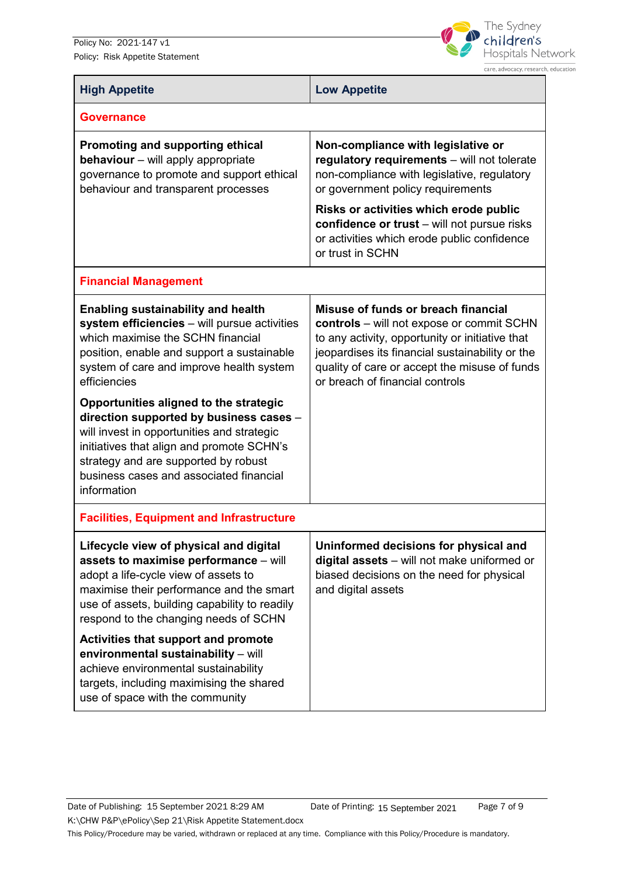Policy No: 2021-147 v1 Policy: Risk Appetite Statement



The Sydney children's Hospitals Network care, advocacy, research, education

| <b>High Appetite</b>                                                                                                                                                                                                                                                                                                          | <b>Low Appetite</b>                                                                                                                                                                                                                                                        |  |  |  |
|-------------------------------------------------------------------------------------------------------------------------------------------------------------------------------------------------------------------------------------------------------------------------------------------------------------------------------|----------------------------------------------------------------------------------------------------------------------------------------------------------------------------------------------------------------------------------------------------------------------------|--|--|--|
| <b>Governance</b>                                                                                                                                                                                                                                                                                                             |                                                                                                                                                                                                                                                                            |  |  |  |
| Promoting and supporting ethical<br>behaviour - will apply appropriate<br>governance to promote and support ethical<br>behaviour and transparent processes                                                                                                                                                                    | Non-compliance with legislative or<br>regulatory requirements - will not tolerate<br>non-compliance with legislative, regulatory<br>or government policy requirements                                                                                                      |  |  |  |
|                                                                                                                                                                                                                                                                                                                               | Risks or activities which erode public<br>confidence or trust - will not pursue risks<br>or activities which erode public confidence<br>or trust in SCHN                                                                                                                   |  |  |  |
| <b>Financial Management</b>                                                                                                                                                                                                                                                                                                   |                                                                                                                                                                                                                                                                            |  |  |  |
| <b>Enabling sustainability and health</b><br>system efficiencies - will pursue activities<br>which maximise the SCHN financial<br>position, enable and support a sustainable<br>system of care and improve health system<br>efficiencies<br>Opportunities aligned to the strategic<br>direction supported by business cases - | Misuse of funds or breach financial<br>controls - will not expose or commit SCHN<br>to any activity, opportunity or initiative that<br>jeopardises its financial sustainability or the<br>quality of care or accept the misuse of funds<br>or breach of financial controls |  |  |  |
| will invest in opportunities and strategic<br>initiatives that align and promote SCHN's<br>strategy and are supported by robust<br>business cases and associated financial<br>information                                                                                                                                     |                                                                                                                                                                                                                                                                            |  |  |  |
| <b>Facilities, Equipment and Infrastructure</b>                                                                                                                                                                                                                                                                               |                                                                                                                                                                                                                                                                            |  |  |  |
| Lifecycle view of physical and digital<br>assets to maximise performance - will<br>adopt a life-cycle view of assets to<br>maximise their performance and the smart<br>use of assets, building capability to readily<br>respond to the changing needs of SCHN                                                                 | Uninformed decisions for physical and<br>digital assets - will not make uniformed or<br>biased decisions on the need for physical<br>and digital assets                                                                                                                    |  |  |  |
| Activities that support and promote<br>environmental sustainability - will<br>achieve environmental sustainability<br>targets, including maximising the shared<br>use of space with the community                                                                                                                             |                                                                                                                                                                                                                                                                            |  |  |  |

K:\CHW P&P\ePolicy\Sep 21\Risk Appetite Statement.docx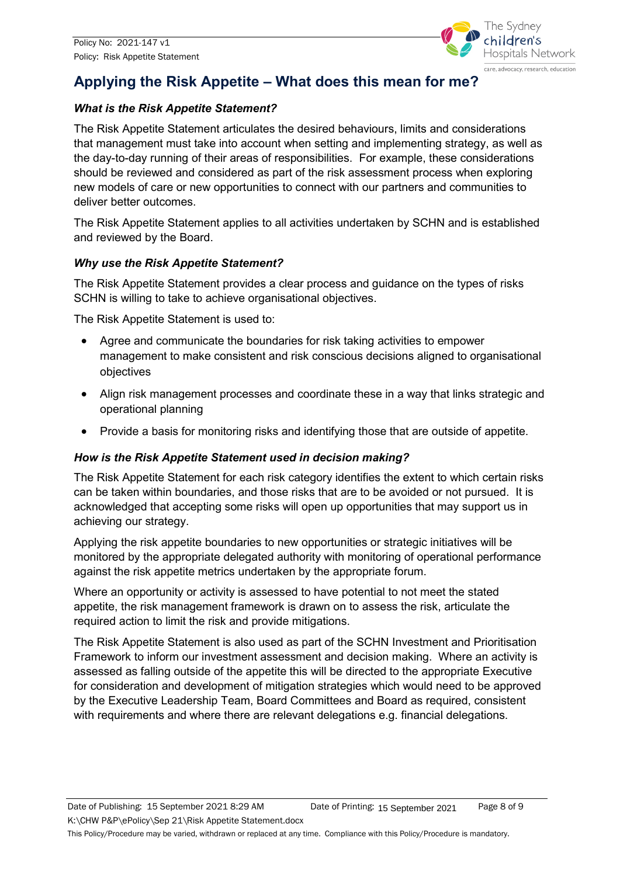

## <span id="page-7-0"></span>**Applying the Risk Appetite – What does this mean for me?**

#### <span id="page-7-1"></span>*What is the Risk Appetite Statement?*

The Risk Appetite Statement articulates the desired behaviours, limits and considerations that management must take into account when setting and implementing strategy, as well as the day-to-day running of their areas of responsibilities. For example, these considerations should be reviewed and considered as part of the risk assessment process when exploring new models of care or new opportunities to connect with our partners and communities to deliver better outcomes.

The Risk Appetite Statement applies to all activities undertaken by SCHN and is established and reviewed by the Board.

#### <span id="page-7-2"></span>*Why use the Risk Appetite Statement?*

The Risk Appetite Statement provides a clear process and guidance on the types of risks SCHN is willing to take to achieve organisational objectives.

The Risk Appetite Statement is used to:

- Agree and communicate the boundaries for risk taking activities to empower management to make consistent and risk conscious decisions aligned to organisational objectives
- Align risk management processes and coordinate these in a way that links strategic and operational planning
- Provide a basis for monitoring risks and identifying those that are outside of appetite.

#### <span id="page-7-3"></span>*How is the Risk Appetite Statement used in decision making?*

The Risk Appetite Statement for each risk category identifies the extent to which certain risks can be taken within boundaries, and those risks that are to be avoided or not pursued. It is acknowledged that accepting some risks will open up opportunities that may support us in achieving our strategy.

Applying the risk appetite boundaries to new opportunities or strategic initiatives will be monitored by the appropriate delegated authority with monitoring of operational performance against the risk appetite metrics undertaken by the appropriate forum.

Where an opportunity or activity is assessed to have potential to not meet the stated appetite, the risk management framework is drawn on to assess the risk, articulate the required action to limit the risk and provide mitigations.

The Risk Appetite Statement is also used as part of the SCHN Investment and Prioritisation Framework to inform our investment assessment and decision making. Where an activity is assessed as falling outside of the appetite this will be directed to the appropriate Executive for consideration and development of mitigation strategies which would need to be approved by the Executive Leadership Team, Board Committees and Board as required, consistent with requirements and where there are relevant delegations e.g. financial delegations.

Date of Publishing: 15 September 2021 8:29 AM Date of Printing: 15 September 2021 Page 8 of 9

K:\CHW P&P\ePolicy\Sep 21\Risk Appetite Statement.docx